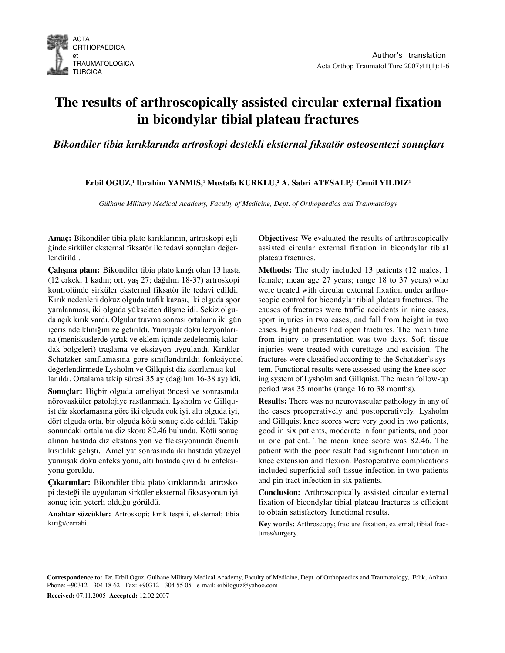

# **The results of arthroscopically assisted circular external fixation in bicondylar tibial plateau fractures**

*Bikondiler tibia kırıklarında artroskopi destekli eksternal fiksatör osteosentezi sonuçları*

**Erbil OGUZ,1 Ibrahim YANMIS,1 Mustafa KURKLU,2 A. Sabri ATESALP, <sup>1</sup> Cemil YILDIZ1**

*Gülhane Military Medical Academy, Faculty of Medicine, Dept. of Orthopaedics and Traumatology*

**Amaç:** Bikondiler tibia plato kırıklarının, artroskopi eşliğinde sirküler eksternal fiksatör ile tedavi sonuçları değerlendirildi.

**Çalışma planı:** Bikondiler tibia plato kırığı olan 13 hasta (12 erkek, 1 kadın; ort. yaş 27; dağılım 18-37) artroskopi kontrolünde sirküler eksternal fiksatör ile tedavi edildi. Kırık nedenleri dokuz olguda trafik kazası, iki olguda spor yaralanması, iki olguda yüksekten düşme idi. Sekiz olguda açık kırık vardı. Olgular travma sonrası ortalama iki gün içerisinde kliniğimize getirildi. Yumuşak doku lezyonlarına (menisküslerde yırtık ve eklem içinde zedelenmiş kıkırdak bölgeleri) traşlama ve eksizyon uygulandı. Kırıklar Schatzker sınıflamasına göre sınıflandırıldı; fonksiyonel değerlendirmede Lysholm ve Gillquist diz skorlaması kullanıldı. Ortalama takip süresi 35 ay (dağılım 16-38 ay) idi.

**Sonuçlar:** Hiçbir olguda ameliyat öncesi ve sonrasında nörovasküler patolojiye rastlanmadı. Lysholm ve Gillquist diz skorlamasına göre iki olguda çok iyi, altı olguda iyi, dört olguda orta, bir olguda kötü sonuç elde edildi. Takip sonundaki ortalama diz skoru 82.46 bulundu. Kötü sonuç alınan hastada diz ekstansiyon ve fleksiyonunda önemli kısıtlılık gelişti. Ameliyat sonrasında iki hastada yüzeyel yumuşak doku enfeksiyonu, altı hastada çivi dibi enfeksiyonu görüldü.

**Çıkarımlar:** Bikondiler tibia plato kırıklarında artroskopi desteği ile uygulanan sirküler eksternal fiksasyonun iyi sonuç için yeterli olduğu görüldü.

**Anahtar sözcükler:** Artroskopi; kırık tespiti, eksternal; tibia kırığı/cerrahi.

**Objectives:** We evaluated the results of arthroscopically assisted circular external fixation in bicondylar tibial plateau fractures.

**Methods:** The study included 13 patients (12 males, 1 female; mean age 27 years; range 18 to 37 years) who were treated with circular external fixation under arthroscopic control for bicondylar tibial plateau fractures. The causes of fractures were traffic accidents in nine cases, sport injuries in two cases, and fall from height in two cases. Eight patients had open fractures. The mean time from injury to presentation was two days. Soft tissue injuries were treated with curettage and excision. The fractures were classified according to the Schatzker's system. Functional results were assessed using the knee scoring system of Lysholm and Gillquist. The mean follow-up period was 35 months (range 16 to 38 months).

**Results:** There was no neurovascular pathology in any of the cases preoperatively and postoperatively. Lysholm and Gillquist knee scores were very good in two patients, good in six patients, moderate in four patients, and poor in one patient. The mean knee score was 82.46. The patient with the poor result had significant limitation in knee extension and flexion. Postoperative complications included superficial soft tissue infection in two patients and pin tract infection in six patients.

**Conclusion:** Arthroscopically assisted circular external fixation of bicondylar tibial plateau fractures is efficient to obtain satisfactory functional results.

**Key words:** Arthroscopy; fracture fixation, external; tibial fractures/surgery.

**Correspondence to:** Dr. Erbil Oguz. Gulhane Military Medical Academy, Faculty of Medicine, Dept. of Orthopaedics and Traumatology, Etlik, Ankara. Phone: +90312 - 304 18 62 Fax: +90312 - 304 55 05 e-mail: erbiloguz@yahoo.com

**Received:** 07.11.2005 **Accepted:** 12.02.2007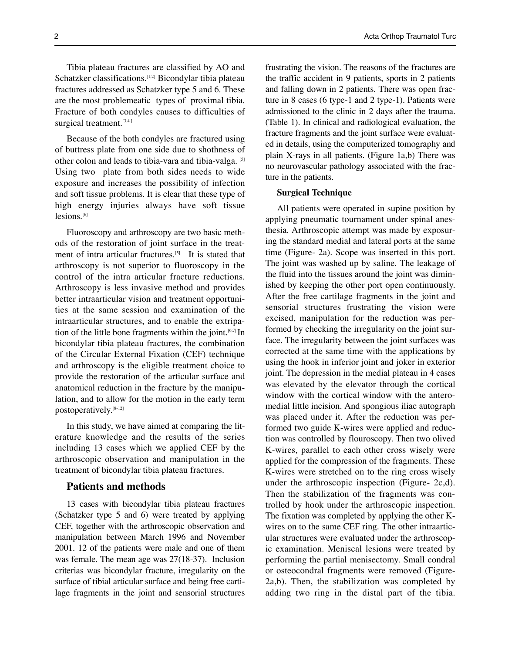Tibia plateau fractures are classified by AO and Schatzker classifications.<sup>[1,2]</sup> Bicondylar tibia plateau fractures addressed as Schatzker type 5 and 6. These are the most problemeatic types of proximal tibia. Fracture of both condyles causes to difficulties of surgical treatment.<sup>[3,4]</sup>

Because of the both condyles are fractured using of buttress plate from one side due to shothness of other colon and leads to tibia-vara and tibia-valga. [5] Using two plate from both sides needs to wide exposure and increases the possibility of infection and soft tissue problems. It is clear that these type of high energy injuries always have soft tissue lesions.<sup>[6]</sup>

Fluoroscopy and arthroscopy are two basic methods of the restoration of joint surface in the treatment of intra articular fractures.<sup>[5]</sup> It is stated that arthroscopy is not superior to fluoroscopy in the control of the intra articular fracture reductions. Arthroscopy is less invasive method and provides better intraarticular vision and treatment opportunities at the same session and examination of the intraarticular structures, and to enable the extripation of the little bone fragments within the joint.<sup>[6,7]</sup> In bicondylar tibia plateau fractures, the combination of the Circular External Fixation (CEF) technique and arthroscopy is the eligible treatment choice to provide the restoration of the articular surface and anatomical reduction in the fracture by the manipulation, and to allow for the motion in the early term postoperatively. [8-12]

In this study, we have aimed at comparing the literature knowledge and the results of the series including 13 cases which we applied CEF by the arthroscopic observation and manipulation in the treatment of bicondylar tibia plateau fractures.

### **Patients and methods**

13 cases with bicondylar tibia plateau fractures (Schatzker type 5 and 6) were treated by applying CEF, together with the arthroscopic observation and manipulation between March 1996 and November 2001. 12 of the patients were male and one of them was female. The mean age was 27(18-37). Inclusion criterias was bicondylar fracture, irregularity on the surface of tibial articular surface and being free cartilage fragments in the joint and sensorial structures frustrating the vision. The reasons of the fractures are the traffic accident in 9 patients, sports in 2 patients and falling down in 2 patients. There was open fracture in 8 cases (6 type-1 and 2 type-1). Patients were admissioned to the clinic in 2 days after the trauma. ( Table 1). In clinical and radiological evaluation, the fracture fragments and the joint surface were evaluated in details, using the computerized tomography and plain X-rays in all patients. (Figure 1a,b) There was no neurovascular pathology associated with the fracture in the patients.

#### **Surgical Technique**

All patients were operated in supine position by applying pneumatic tournament under spinal anesthesia. Arthroscopic attempt was made by exposuring the standard medial and lateral ports at the same time (Figure- 2a). Scope was inserted in this port. The joint was washed up by saline. The leakage of the fluid into the tissues around the joint was diminished by keeping the other port open continuously. After the free cartilage fragments in the joint and sensorial structures frustrating the vision were excised, manipulation for the reduction was performed by checking the irregularity on the joint surface. The irregularity between the joint surfaces was corrected at the same time with the applications by using the hook in inferior joint and joker in exterior joint. The depression in the medial plateau in 4 cases was elevated by the elevator through the cortical window with the cortical window with the anteromedial little incision. And spongious iliac autograph was placed under it. After the reduction was performed two guide K-wires were applied and reduction was controlled by flouroscopy. Then two olived K-wires, parallel to each other cross wisely were applied for the compression of the fragments. These K-wires were stretched on to the ring cross wisely under the arthroscopic inspection (Figure- 2c,d). Then the stabilization of the fragments was controlled by hook under the arthroscopic inspection. The fixation was completed by applying the other Kwires on to the same CEF ring. The other intraarticular structures were evaluated under the arthroscopic examination. Meniscal lesions were treated by performing the partial menisectomy. Small condral or osteocondral fragments were removed (Figure-2a,b). Then, the stabilization was completed by adding two ring in the distal part of the tibia.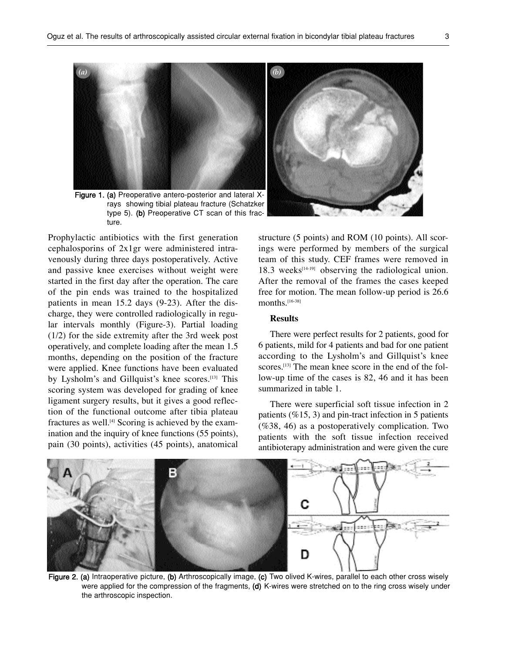

Figure 1. (a) Preoperative antero-posterior and lateral Xrays showing tibial plateau fracture (Schatzker type 5). (b) Preoperative CT scan of this fracture.

Prophylactic antibiotics with the first generation cephalosporins of 2x1gr were administered intravenously during three days postoperatively. Active and passive knee exercises without weight were started in the first day after the operation. The care of the pin ends was trained to the hospitalized patients in mean 15.2 days (9-23). After the discharge, they were controlled radiologically in regular intervals monthly (Figure-3). Partial loading (1/2) for the side extremity after the 3rd week post operatively, and complete loading after the mean 1.5 months, depending on the position of the fracture were applied. Knee functions have been evaluated by Lysholm's and Gillquist's knee scores.<sup>[13]</sup> This scoring system was developed for grading of knee ligament surgery results, but it gives a good reflection of the functional outcome after tibia plateau fractures as well.<sup>[4]</sup> Scoring is achieved by the examination and the inquiry of knee functions (55 points), pain (30 points), activities (45 points), anatomical structure (5 points) and ROM (10 points). All scorings were performed by members of the surgical team of this study. CEF frames were removed in 18.3 weeks $[14-19]$  observing the radiological union. After the removal of the frames the cases keeped free for motion. The mean follow-up period is 26.6 months.[16-38]

### **Results**

There were perfect results for 2 patients, good for 6 patients, mild for 4 patients and bad for one patient according to the Lysholm's and Gillquist's knee scores.<sup>[13]</sup> The mean knee score in the end of the follow-up time of the cases is 82, 46 and it has been summarized in table 1.

There were superficial soft tissue infection in 2 patients  $(\%15, 3)$  and pin-tract infection in 5 patients (%38, 46) as a postoperatively complication. Two patients with the soft tissue infection received antibioterapy administration and were given the cure



Figure 2. (a) Intraoperative picture, (b) Arthroscopically image, (c) Two olived K-wires, parallel to each other cross wisely were applied for the compression of the fragments, (d) K-wires were stretched on to the ring cross wisely under the arthroscopic inspection.

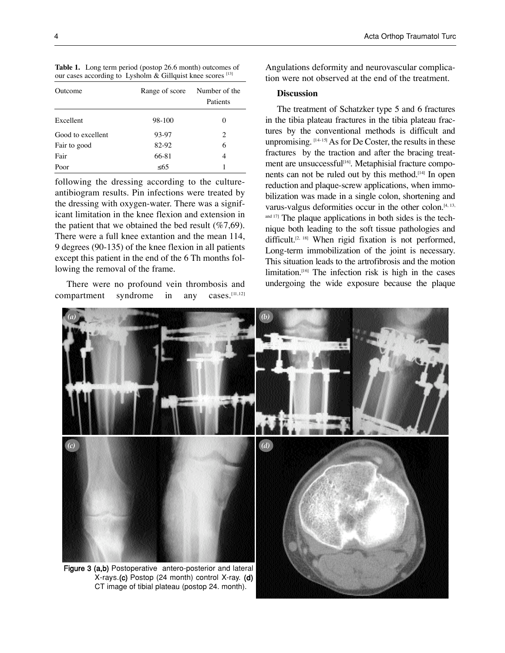**Table 1.** Long term period (postop 26.6 month) outcomes of our cases according to Lysholm & Gillquist knee scores [13]

| Outcome           | Range of score | Number of the<br>Patients |
|-------------------|----------------|---------------------------|
| Excellent         | 98-100         | 0                         |
| Good to excellent | 93-97          | 2                         |
| Fair to good      | 82-92          | 6                         |
| Fair              | 66-81          | 4                         |
| Poor              | $\leq 65$      |                           |

following the dressing according to the cultureantibiogram results. Pin infections were treated by the dressing with oxygen-water. There was a significant limitation in the knee flexion and extension in the patient that we obtained the bed result  $(\%7,69)$ . There were a full knee extantion and the mean 114, 9 degrees (90-135) of the knee flexion in all patients except this patient in the end of the 6 Th months following the removal of the frame.

There were no profound vein thrombosis and compartment syndrome in any cases.[11,12]

Angulations deformity and neurovascular complication were not observed at the end of the treatment.

#### **Discussion**

The treatment of Schatzker type 5 and 6 fractures in the tibia plateau fractures in the tibia plateau fractures by the conventional methods is difficult and unpromising.  $[14-15]$  As for De Coster, the results in these fractures by the traction and after the bracing treatment are unsuccessful<sup>[16]</sup>. Metaphisial fracture components can not be ruled out by this method.<sup>[14]</sup> In open reduction and plaque-screw applications, when immobilization was made in a single colon, shortening and varus-valgus deformities occur in the other colon. [4, 13, and 17] The plaque applications in both sides is the technique both leading to the soft tissue pathologies and difficult.<sup>[2, 18]</sup> When rigid fixation is not performed, Long-term immobilization of the joint is necessary. This situation leads to the artrofibrosis and the motion limitation.<sup>[16]</sup> The infection risk is high in the cases undergoing the wide exposure because the plaque

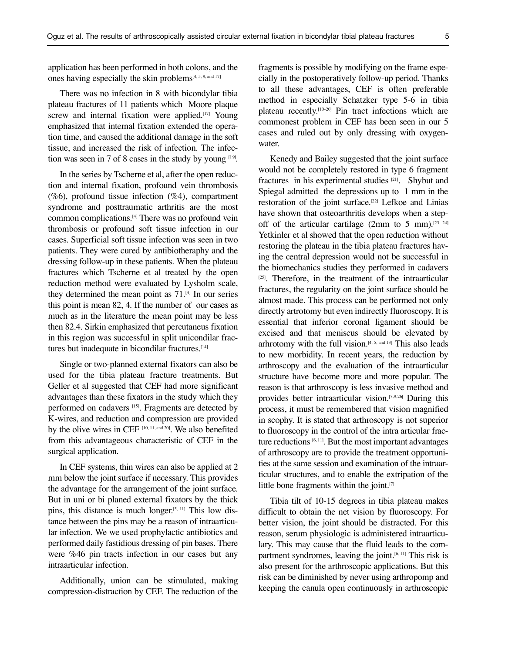application has been performed in both colons, and the ones having especially the skin problems<sup>[4, 5, 9, and 17]</sup>

There was no infection in 8 with bicondylar tibia plateau fractures of 11 patients which Moore plaque screw and internal fixation were applied.<sup>[17]</sup> Young emphasized that internal fixation extended the operation time, and caused the additional damage in the soft tissue, and increased the risk of infection. The infection was seen in 7 of 8 cases in the study by young  $[19]$ .

In the series by Tscherne et al, after the open reduction and internal fixation, profound vein thrombosis (%6), profound tissue infection (%4), compartment syndrome and posttraumatic arthritis are the most common complications. [4] There was no profound vein thrombosis or profound soft tissue infection in our cases. Superficial soft tissue infection was seen in two patients. They were cured by antibiotheraphy and the dressing follow-up in these patients. When the plateau fractures which Tscherne et al treated by the open reduction method were evaluated by Lysholm scale, they determined the mean point as 71. [4] In our series this point is mean 82, 4. If the number of our cases as much as in the literature the mean point may be less then 82.4. Sirkin emphasized that percutaneus fixation in this region was successful in split unicondilar fractures but inadequate in bicondilar fractures.<sup>[14]</sup>

Single or two-planned external fixators can also be used for the tibia plateau fracture treatments. But Geller et al suggested that CEF had more significant advantages than these fixators in the study which they performed on cadavers<sup>[15]</sup>. Fragments are detected by K-wires, and reduction and compression are provided by the olive wires in CEF [10, 11, and 20]. We also benefited from this advantageous characteristic of CEF in the surgical application.

In CEF systems, thin wires can also be applied at 2 mm below the joint surface if necessary. This provides the advantage for the arrangement of the joint surface. But in uni or bi planed external fixators by the thick pins, this distance is much longer. [5, 11] This low distance between the pins may be a reason of intraarticular infection. We we used prophylactic antibiotics and performed daily fastidious dressing of pin bases. There were %46 pin tracts infection in our cases but any intraarticular infection.

Additionally, union can be stimulated, making compression-distraction by CEF. The reduction of the fragments is possible by modifying on the frame especially in the postoperatively follow-up period. Thanks to all these advantages, CEF is often preferable method in especially Schatzker type 5-6 in tibia plateau recently.<sup>[10-20]</sup> Pin tract infections which are commonest problem in CEF has been seen in our 5 cases and ruled out by only dressing with oxygenwater.

Kenedy and Bailey suggested that the joint surface would not be completely restored in type 6 fragment fractures in his experimental studies<sup>[21]</sup>. Shybut and Spiegal admitted the depressions up to 1 mm in the restoration of the joint surface.<sup>[22]</sup> Lefkoe and Linias have shown that osteoarthritis develops when a stepoff of the articular cartilage (2mm to 5 mm).<sup>[23, 24]</sup> Yetkinler et al showed that the open reduction without restoring the plateau in the tibia plateau fractures having the central depression would not be successful in the biomechanics studies they performed in cadavers  $[25]$ . Therefore, in the treatment of the intraarticular fractures, the regularity on the joint surface should be almost made. This process can be performed not only directly artrotomy but even indirectly fluoroscopy. It is essential that inferior coronal ligament should be excised and that meniscus should be elevated by arhrotomy with the full vision.<sup>[4, 5, and 13]</sup> This also leads to new morbidity. In recent years, the reduction by arthroscopy and the evaluation of the intraarticular structure have become more and more popular. The reason is that arthroscopy is less invasive method and provides better intraarticular vision.<sup>[7,9,26]</sup> During this process, it must be remembered that vision magnified in scophy. It is stated that arthroscopy is not superior to fluoroscopy in the control of the intra articular fracture reductions  $[6, 11]$ . But the most important advantages of arthroscopy are to provide the treatment opportunities at the same session and examination of the intraarticular structures, and to enable the extripation of the little bone fragments within the joint. [7]

Tibia tilt of 10-15 degrees in tibia plateau makes difficult to obtain the net vision by fluoroscopy. For better vision, the joint should be distracted. For this reason, serum physiologic is administered intraarticulary. This may cause that the fluid leads to the compartment syndromes, leaving the joint. [6, 11] This risk is also present for the arthroscopic applications. But this risk can be diminished by never using arthropomp and keeping the canula open continuously in arthroscopic